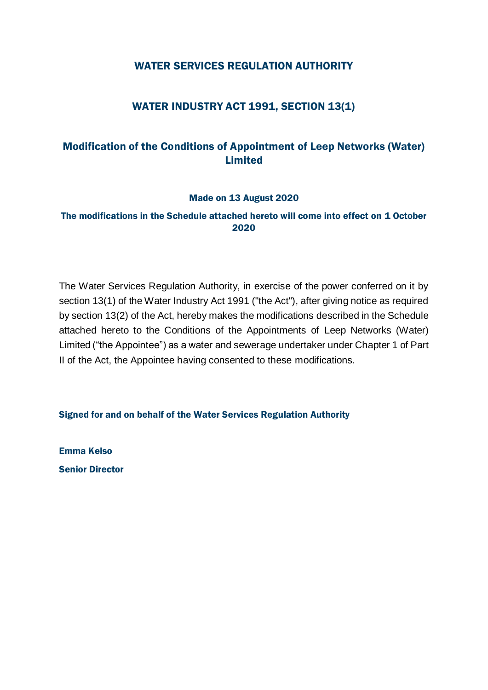## WATER SERVICES REGULATION AUTHORITY

## WATER INDUSTRY ACT 1991, SECTION 13(1)

# Modification of the Conditions of Appointment of Leep Networks (Water) Limited

#### Made on 13 August 2020

#### The modifications in the Schedule attached hereto will come into effect on 1 October 2020

The Water Services Regulation Authority, in exercise of the power conferred on it by section 13(1) of the Water Industry Act 1991 ("the Act"), after giving notice as required by section 13(2) of the Act, hereby makes the modifications described in the Schedule attached hereto to the Conditions of the Appointments of Leep Networks (Water) Limited ("the Appointee") as a water and sewerage undertaker under Chapter 1 of Part II of the Act, the Appointee having consented to these modifications.

Signed for and on behalf of the Water Services Regulation Authority

Emma Kelso Senior Director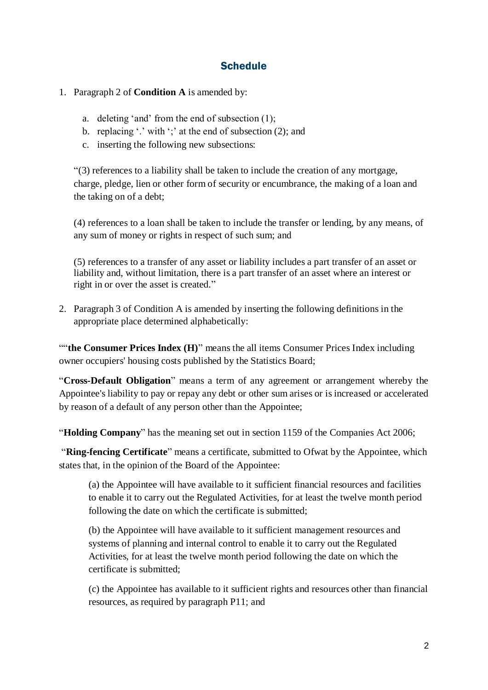# **Schedule**

- 1. Paragraph 2 of **Condition A** is amended by:
	- a. deleting 'and' from the end of subsection (1);
	- b. replacing '.' with ';' at the end of subsection  $(2)$ ; and
	- c. inserting the following new subsections:

"(3) references to a liability shall be taken to include the creation of any mortgage, charge, pledge, lien or other form of security or encumbrance, the making of a loan and the taking on of a debt;

(4) references to a loan shall be taken to include the transfer or lending, by any means, of any sum of money or rights in respect of such sum; and

(5) references to a transfer of any asset or liability includes a part transfer of an asset or liability and, without limitation, there is a part transfer of an asset where an interest or right in or over the asset is created."

2. Paragraph 3 of Condition A is amended by inserting the following definitions in the appropriate place determined alphabetically:

""the Consumer Prices Index (H)" means the all items Consumer Prices Index including owner occupiers' housing costs published by the Statistics Board;

"**Cross-Default Obligation**" means a term of any agreement or arrangement whereby the Appointee's liability to pay or repay any debt or other sum arises or is increased or accelerated by reason of a default of any person other than the Appointee;

"**Holding Company**" has the meaning set out in section 1159 of the Companies Act 2006;

"**Ring-fencing Certificate**" means a certificate, submitted to Ofwat by the Appointee, which states that, in the opinion of the Board of the Appointee:

(a) the Appointee will have available to it sufficient financial resources and facilities to enable it to carry out the Regulated Activities, for at least the twelve month period following the date on which the certificate is submitted;

(b) the Appointee will have available to it sufficient management resources and systems of planning and internal control to enable it to carry out the Regulated Activities, for at least the twelve month period following the date on which the certificate is submitted;

(c) the Appointee has available to it sufficient rights and resources other than financial resources, as required by paragraph P11; and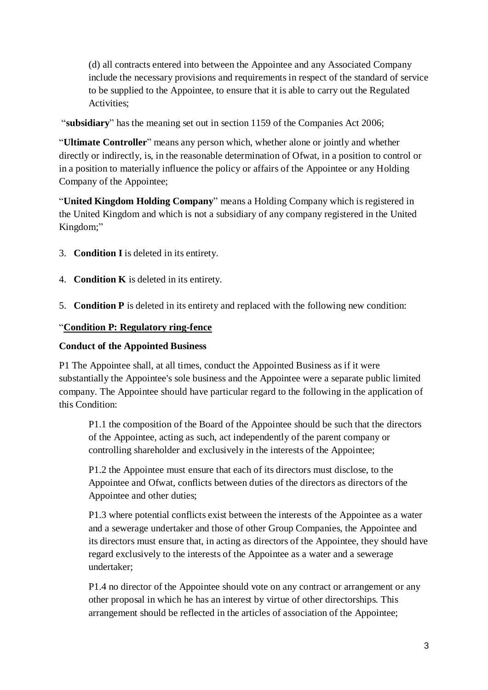(d) all contracts entered into between the Appointee and any Associated Company include the necessary provisions and requirements in respect of the standard of service to be supplied to the Appointee, to ensure that it is able to carry out the Regulated Activities;

"**subsidiary**" has the meaning set out in section 1159 of the Companies Act 2006;

"**Ultimate Controller**" means any person which, whether alone or jointly and whether directly or indirectly, is, in the reasonable determination of Ofwat, in a position to control or in a position to materially influence the policy or affairs of the Appointee or any Holding Company of the Appointee;

"**United Kingdom Holding Company**" means a Holding Company which is registered in the United Kingdom and which is not a subsidiary of any company registered in the United Kingdom;"

- 3. **Condition I** is deleted in its entirety.
- 4. **Condition K** is deleted in its entirety.
- 5. **Condition P** is deleted in its entirety and replaced with the following new condition:

### "**Condition P: Regulatory ring-fence**

### **Conduct of the Appointed Business**

P1 The Appointee shall, at all times, conduct the Appointed Business as if it were substantially the Appointee's sole business and the Appointee were a separate public limited company. The Appointee should have particular regard to the following in the application of this Condition:

P1.1 the composition of the Board of the Appointee should be such that the directors of the Appointee, acting as such, act independently of the parent company or controlling shareholder and exclusively in the interests of the Appointee;

P1.2 the Appointee must ensure that each of its directors must disclose, to the Appointee and Ofwat, conflicts between duties of the directors as directors of the Appointee and other duties;

P1.3 where potential conflicts exist between the interests of the Appointee as a water and a sewerage undertaker and those of other Group Companies, the Appointee and its directors must ensure that, in acting as directors of the Appointee, they should have regard exclusively to the interests of the Appointee as a water and a sewerage undertaker;

P1.4 no director of the Appointee should vote on any contract or arrangement or any other proposal in which he has an interest by virtue of other directorships. This arrangement should be reflected in the articles of association of the Appointee;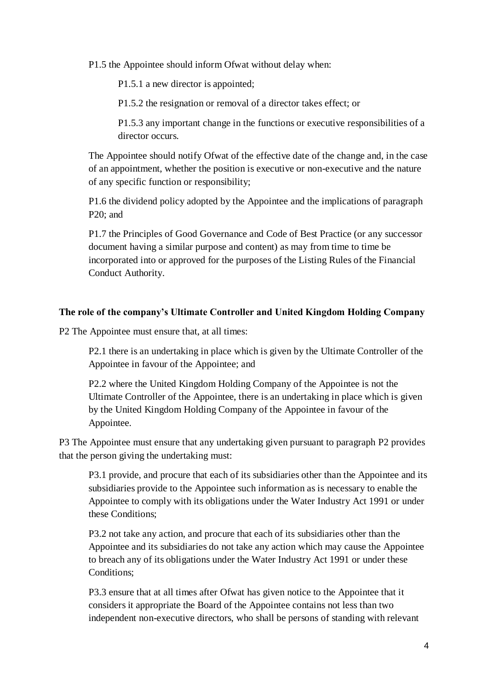P1.5 the Appointee should inform Ofwat without delay when:

P1.5.1 a new director is appointed;

P1.5.2 the resignation or removal of a director takes effect; or

P1.5.3 any important change in the functions or executive responsibilities of a director occurs.

The Appointee should notify Ofwat of the effective date of the change and, in the case of an appointment, whether the position is executive or non-executive and the nature of any specific function or responsibility;

P1.6 the dividend policy adopted by the Appointee and the implications of paragraph P20; and

P1.7 the Principles of Good Governance and Code of Best Practice (or any successor document having a similar purpose and content) as may from time to time be incorporated into or approved for the purposes of the Listing Rules of the Financial Conduct Authority.

#### **The role of the company's Ultimate Controller and United Kingdom Holding Company**

P2 The Appointee must ensure that, at all times:

P2.1 there is an undertaking in place which is given by the Ultimate Controller of the Appointee in favour of the Appointee; and

P2.2 where the United Kingdom Holding Company of the Appointee is not the Ultimate Controller of the Appointee, there is an undertaking in place which is given by the United Kingdom Holding Company of the Appointee in favour of the Appointee.

P3 The Appointee must ensure that any undertaking given pursuant to paragraph P2 provides that the person giving the undertaking must:

P3.1 provide, and procure that each of its subsidiaries other than the Appointee and its subsidiaries provide to the Appointee such information as is necessary to enable the Appointee to comply with its obligations under the Water Industry Act 1991 or under these Conditions;

P3.2 not take any action, and procure that each of its subsidiaries other than the Appointee and its subsidiaries do not take any action which may cause the Appointee to breach any of its obligations under the Water Industry Act 1991 or under these Conditions;

P3.3 ensure that at all times after Ofwat has given notice to the Appointee that it considers it appropriate the Board of the Appointee contains not less than two independent non-executive directors, who shall be persons of standing with relevant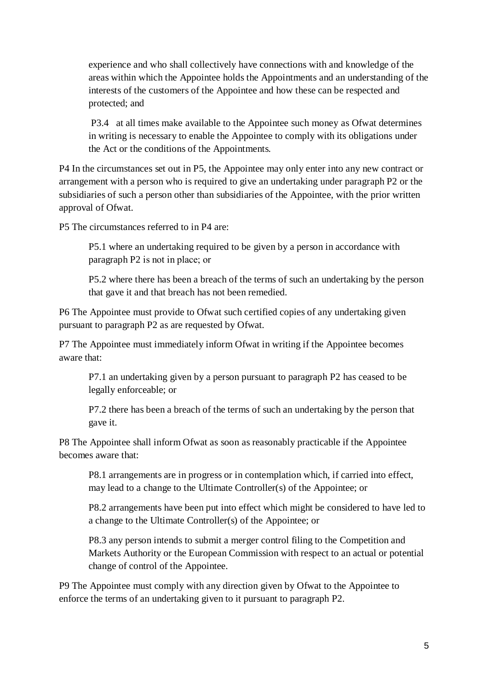experience and who shall collectively have connections with and knowledge of the areas within which the Appointee holds the Appointments and an understanding of the interests of the customers of the Appointee and how these can be respected and protected; and

P3.4 at all times make available to the Appointee such money as Ofwat determines in writing is necessary to enable the Appointee to comply with its obligations under the Act or the conditions of the Appointments.

P4 In the circumstances set out in P5, the Appointee may only enter into any new contract or arrangement with a person who is required to give an undertaking under paragraph P2 or the subsidiaries of such a person other than subsidiaries of the Appointee, with the prior written approval of Ofwat.

P5 The circumstances referred to in P4 are:

P5.1 where an undertaking required to be given by a person in accordance with paragraph P2 is not in place; or 

P5.2 where there has been a breach of the terms of such an undertaking by the person that gave it and that breach has not been remedied.

P6 The Appointee must provide to Ofwat such certified copies of any undertaking given pursuant to paragraph P2 as are requested by Ofwat.

P7 The Appointee must immediately inform Ofwat in writing if the Appointee becomes aware that:

P7.1 an undertaking given by a person pursuant to paragraph P2 has ceased to be legally enforceable; or

P7.2 there has been a breach of the terms of such an undertaking by the person that gave it.

P8 The Appointee shall inform Ofwat as soon as reasonably practicable if the Appointee becomes aware that:

P8.1 arrangements are in progress or in contemplation which, if carried into effect, may lead to a change to the Ultimate Controller(s) of the Appointee; or

P8.2 arrangements have been put into effect which might be considered to have led to a change to the Ultimate Controller(s) of the Appointee; or

P8.3 any person intends to submit a merger control filing to the Competition and Markets Authority or the European Commission with respect to an actual or potential change of control of the Appointee.

P9 The Appointee must comply with any direction given by Ofwat to the Appointee to enforce the terms of an undertaking given to it pursuant to paragraph P2.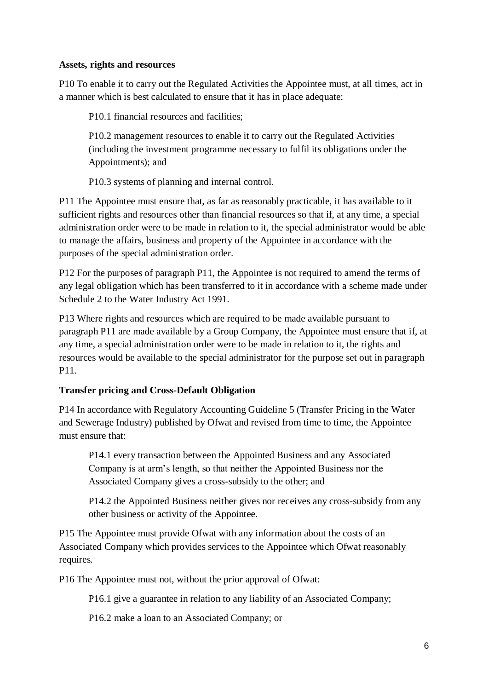### **Assets, rights and resources**

P10 To enable it to carry out the Regulated Activities the Appointee must, at all times, act in a manner which is best calculated to ensure that it has in place adequate:

P10.1 financial resources and facilities;

P10.2 management resources to enable it to carry out the Regulated Activities (including the investment programme necessary to fulfil its obligations under the Appointments); and

P10.3 systems of planning and internal control.

P11 The Appointee must ensure that, as far as reasonably practicable, it has available to it sufficient rights and resources other than financial resources so that if, at any time, a special administration order were to be made in relation to it, the special administrator would be able to manage the affairs, business and property of the Appointee in accordance with the purposes of the special administration order.

P12 For the purposes of paragraph P11, the Appointee is not required to amend the terms of any legal obligation which has been transferred to it in accordance with a scheme made under Schedule 2 to the Water Industry Act 1991.

P13 Where rights and resources which are required to be made available pursuant to paragraph P11 are made available by a Group Company, the Appointee must ensure that if, at any time, a special administration order were to be made in relation to it, the rights and resources would be available to the special administrator for the purpose set out in paragraph P11.

### **Transfer pricing and Cross-Default Obligation**

P14 In accordance with Regulatory Accounting Guideline 5 (Transfer Pricing in the Water and Sewerage Industry) published by Ofwat and revised from time to time, the Appointee must ensure that:

P14.1 every transaction between the Appointed Business and any Associated Company is at arm's length, so that neither the Appointed Business nor the Associated Company gives a cross-subsidy to the other; and

P14.2 the Appointed Business neither gives nor receives any cross-subsidy from any other business or activity of the Appointee.

P15 The Appointee must provide Ofwat with any information about the costs of an Associated Company which provides services to the Appointee which Ofwat reasonably requires.

P16 The Appointee must not, without the prior approval of Ofwat:

P16.1 give a guarantee in relation to any liability of an Associated Company;

P16.2 make a loan to an Associated Company; or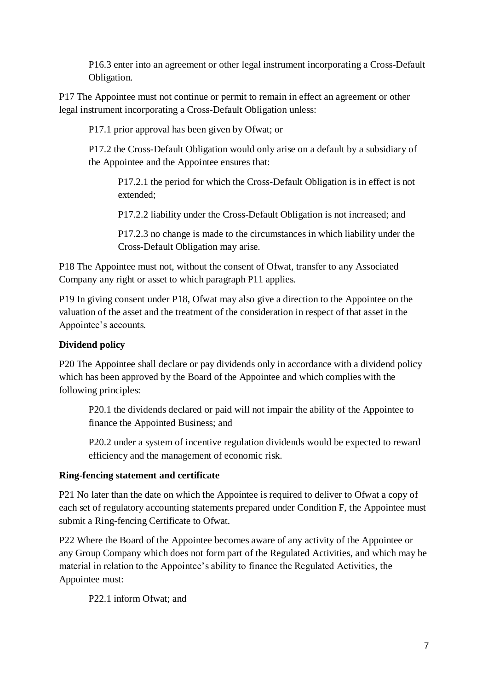P16.3 enter into an agreement or other legal instrument incorporating a Cross-Default Obligation.

P17 The Appointee must not continue or permit to remain in effect an agreement or other legal instrument incorporating a Cross-Default Obligation unless:

P17.1 prior approval has been given by Ofwat; or

P17.2 the Cross-Default Obligation would only arise on a default by a subsidiary of the Appointee and the Appointee ensures that:

P17.2.1 the period for which the Cross-Default Obligation is in effect is not extended;

P17.2.2 liability under the Cross-Default Obligation is not increased; and

P17.2.3 no change is made to the circumstances in which liability under the Cross-Default Obligation may arise.

P18 The Appointee must not, without the consent of Ofwat, transfer to any Associated Company any right or asset to which paragraph P11 applies.

P19 In giving consent under P18, Ofwat may also give a direction to the Appointee on the valuation of the asset and the treatment of the consideration in respect of that asset in the Appointee's accounts.

## **Dividend policy**

P20 The Appointee shall declare or pay dividends only in accordance with a dividend policy which has been approved by the Board of the Appointee and which complies with the following principles:

P20.1 the dividends declared or paid will not impair the ability of the Appointee to finance the Appointed Business; and

P20.2 under a system of incentive regulation dividends would be expected to reward efficiency and the management of economic risk.

## **Ring-fencing statement and certificate**

P21 No later than the date on which the Appointee is required to deliver to Ofwat a copy of each set of regulatory accounting statements prepared under Condition F, the Appointee must submit a Ring-fencing Certificate to Ofwat.

P22 Where the Board of the Appointee becomes aware of any activity of the Appointee or any Group Company which does not form part of the Regulated Activities, and which may be material in relation to the Appointee's ability to finance the Regulated Activities, the Appointee must:

P22.1 inform Ofwat; and